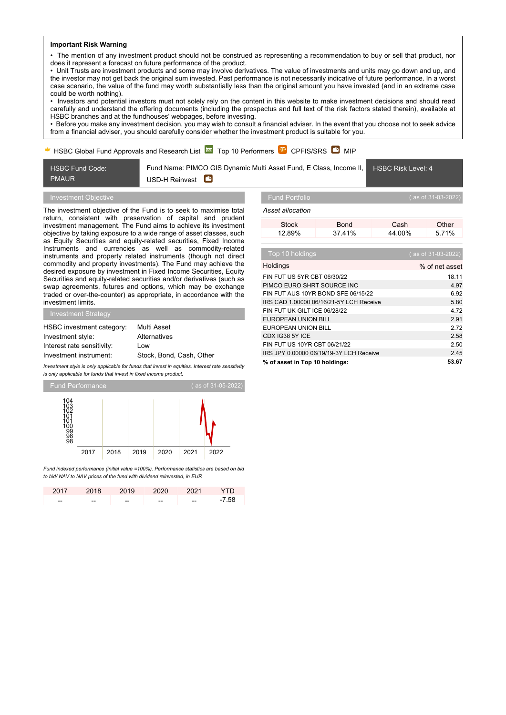### **Important Risk Warning**

• The mention of any investment product should not be construed as representing a recommendation to buy or sell that product, nor does it represent a forecast on future performance of the product.

• Unit Trusts are investment products and some may involve derivatives. The value of investments and units may go down and up, and the investor may not get back the original sum invested. Past performance is not necessarily indicative of future performance. In a worst case scenario, the value of the fund may worth substantially less than the original amount you have invested (and in an extreme case could be worth nothing).

• Investors and potential investors must not solely rely on the content in this website to make investment decisions and should read carefully and understand the offering documents (including the prospectus and full text of the risk factors stated therein), available at HSBC branches and at the fundhouses' webpages, before investing.

• Before you make any investment decision, you may wish to consult a financial adviser. In the event that you choose not to seek advice from a financial adviser, you should carefully consider whether the investment product is suitable for you.

# HSBC Global Fund Approvals and Research List  $\approx$  Top 10 Performers  $\mathbb{P}$  CPFIS/SRS  $\bullet$  MIP

HSBC Fund Code: PMAUR Fund Name: PIMCO GIS Dynamic Multi Asset Fund, E Class, Income II, USD-H Reinvest HSBC Risk Level: 4

# Investment Objective

The investment objective of the Fund is to seek to maximise total return, consistent with preservation of capital and prudent investment management. The Fund aims to achieve its investment objective by taking exposure to a wide range of asset classes, such as Equity Securities and equity-related securities, Fixed Income Instruments and currencies as well as commodity-related instruments and property related instruments (though not direct commodity and property investments). The Fund may achieve the desired exposure by investment in Fixed Income Securities, Equity Securities and equity-related securities and/or derivatives (such as swap agreements, futures and options, which may be exchange traded or over-the-counter) as appropriate, in accordance with the investment limits.

| <b>Investment Strategy</b> |                          |
|----------------------------|--------------------------|
| HSBC investment category:  | Multi Asset              |
| Investment style:          | Alternatives             |
| Interest rate sensitivity: | l ow                     |
| Investment instrument:     | Stock, Bond, Cash, Other |

*Investment style is only applicable for funds that invest in equities. Interest rate sensitivity is only applicable for funds that invest in fixed income product.*



*Fund indexed performance (initial value =100%). Performance statistics are based on bid to bid/ NAV to NAV prices of the fund with dividend reinvested, in EUR*

|    |    | 2017 2018 2019 2020 2021 |    |       | YTD.  |
|----|----|--------------------------|----|-------|-------|
| -- | -- | --                       | -- | $- -$ | -7.58 |

*Asset allocation*

|  | set allocation |  |
|--|----------------|--|
|  |                |  |

| ,,,,,,,,,,,,,,,, |        |        |         |
|------------------|--------|--------|---------|
| Stock            | Bond   | Cash   | Other   |
| 12.89%           | 37 41% | 44.00% | 5 7 1 % |

| Top 10 holdings                         | (as of 31-03-2022) |
|-----------------------------------------|--------------------|
| Holdings                                | % of net asset     |
| FIN FUT US 5YR CBT 06/30/22             | 18.11              |
| PIMCO EURO SHRT SOURCE INC              | 4.97               |
| FIN FUT AUS 10YR BOND SFE 06/15/22      | 6.92               |
| IRS CAD 1.00000 06/16/21-5Y LCH Receive | 5.80               |
| FIN FUT UK GILT ICE 06/28/22            | 4.72               |
| EUROPEAN UNION BILL                     | 2.91               |
| EUROPEAN UNION BILL                     | 2.72               |
| CDX IG38 5Y ICE                         | 2.58               |
| FIN FUT US 10YR CBT 06/21/22            | 2.50               |
| IRS JPY 0.00000 06/19/19-3Y LCH Receive | 2.45               |
| % of asset in Top 10 holdings:          | 53.67              |